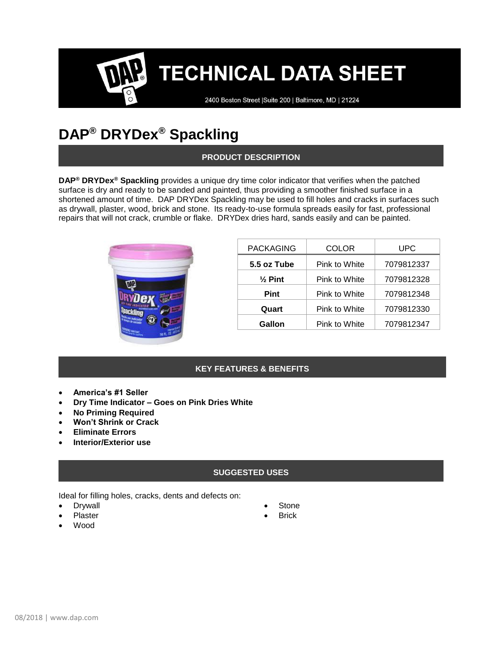### **TECHNICAL DATA SHEET**

2400 Boston Street | Suite 200 | Baltimore, MD | 21224

### **DAP® DRYDex® Spackling**

#### **PRODUCT DESCRIPTION**

**DAP® DRYDex® Spackling** provides a unique dry time color indicator that verifies when the patched surface is dry and ready to be sanded and painted, thus providing a smoother finished surface in a shortened amount of time. DAP DRYDex Spackling may be used to fill holes and cracks in surfaces such as drywall, plaster, wood, brick and stone. Its ready-to-use formula spreads easily for fast, professional repairs that will not crack, crumble or flake. DRYDex dries hard, sands easily and can be painted.



| <b>PACKAGING</b>   | COLOR         | <b>UPC</b> |
|--------------------|---------------|------------|
| 5.5 oz Tube        | Pink to White | 7079812337 |
| $\frac{1}{2}$ Pint | Pink to White | 7079812328 |
| <b>Pint</b>        | Pink to White | 7079812348 |
| Quart              | Pink to White | 7079812330 |
| Gallon             | Pink to White | 7079812347 |

#### **KEY FEATURES & BENEFITS**

- **America's #1 Seller**
- **Dry Time Indicator – Goes on Pink Dries White**
- **No Priming Required**
- **Won't Shrink or Crack**
- **Eliminate Errors**
- **Interior/Exterior use**

#### **SUGGESTED USES**

Ideal for filling holes, cracks, dents and defects on:

- **Drywall**
- **Plaster**
- Wood
- **Stone**
- **Brick**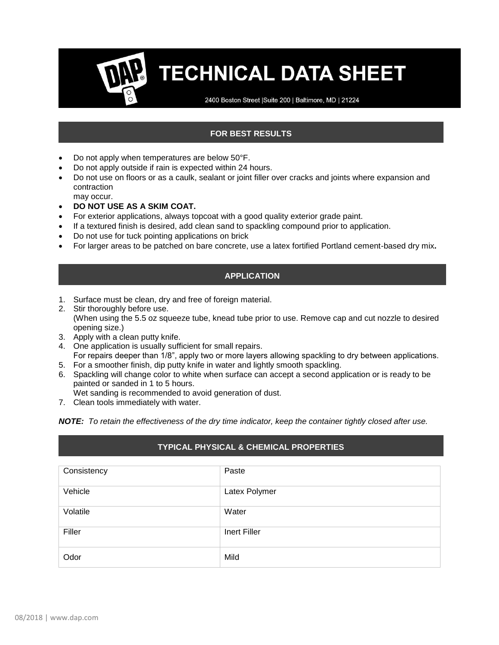## **TECHNICAL DATA SHEET**

2400 Boston Street | Suite 200 | Baltimore, MD | 21224

#### **FOR BEST RESULTS**

- Do not apply when temperatures are below 50°F.
- Do not apply outside if rain is expected within 24 hours.
- Do not use on floors or as a caulk, sealant or joint filler over cracks and joints where expansion and contraction may occur.
- **DO NOT USE AS A SKIM COAT.**
- For exterior applications, always topcoat with a good quality exterior grade paint.
- If a textured finish is desired, add clean sand to spackling compound prior to application.
- Do not use for tuck pointing applications on brick
- For larger areas to be patched on bare concrete, use a latex fortified Portland cement-based dry mix**.**

#### **APPLICATION**

- 1. Surface must be clean, dry and free of foreign material.
- 2. Stir thoroughly before use. (When using the 5.5 oz squeeze tube, knead tube prior to use. Remove cap and cut nozzle to desired opening size.)
- 3. Apply with a clean putty knife.
- 4. One application is usually sufficient for small repairs. For repairs deeper than 1/8", apply two or more layers allowing spackling to dry between applications.
- 5. For a smoother finish, dip putty knife in water and lightly smooth spackling.
- 6. Spackling will change color to white when surface can accept a second application or is ready to be painted or sanded in 1 to 5 hours.

Wet sanding is recommended to avoid generation of dust.

7. Clean tools immediately with water.

*NOTE: To retain the effectiveness of the dry time indicator, keep the container tightly closed after use.*

#### **TYPICAL PHYSICAL & CHEMICAL PROPERTIES**

| Consistency | Paste         |
|-------------|---------------|
| Vehicle     | Latex Polymer |
| Volatile    | Water         |
| Filler      | Inert Filler  |
| Odor        | Mild          |